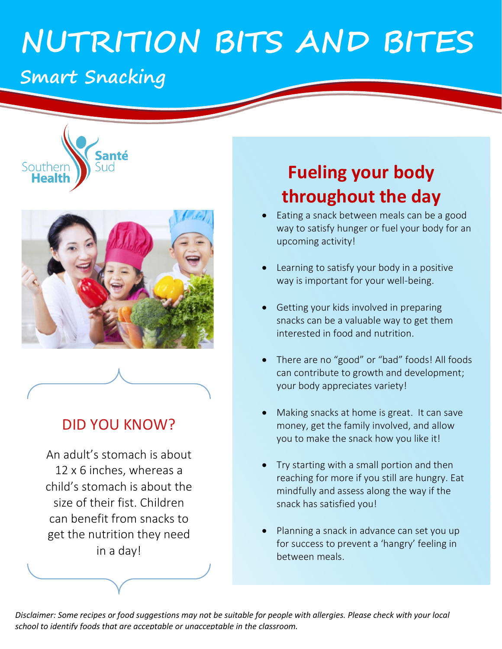# **NUTRITION BITS AND BITES**

## **Smart Snacking**





### DID YOU KNOW?

An adult's stomach is about 12 x 6 inches, whereas a child's stomach is about the size of their fist. Children can benefit from snacks to get the nutrition they need in a day!

# **Fueling your body throughout the day**

- Eating a snack between meals can be a good way to satisfy hunger or fuel your body for an upcoming activity!
- Learning to satisfy your body in a positive way is important for your well-being.
- Getting your kids involved in preparing snacks can be a valuable way to get them interested in food and nutrition.
- There are no "good" or "bad" foods! All foods can contribute to growth and development; your body appreciates variety!
- Making snacks at home is great. It can save money, get the family involved, and allow you to make the snack how you like it!
- Try starting with a small portion and then reaching for more if you still are hungry. Eat mindfully and assess along the way if the snack has satisfied you!
- Planning a snack in advance can set you up for success to prevent a 'hangry' feeling in between meals.

*Disclaimer: Some recipes or food suggestions may not be suitable for people with allergies. Please check with your local school to identify foods that are acceptable or unacceptable in the classroom.*